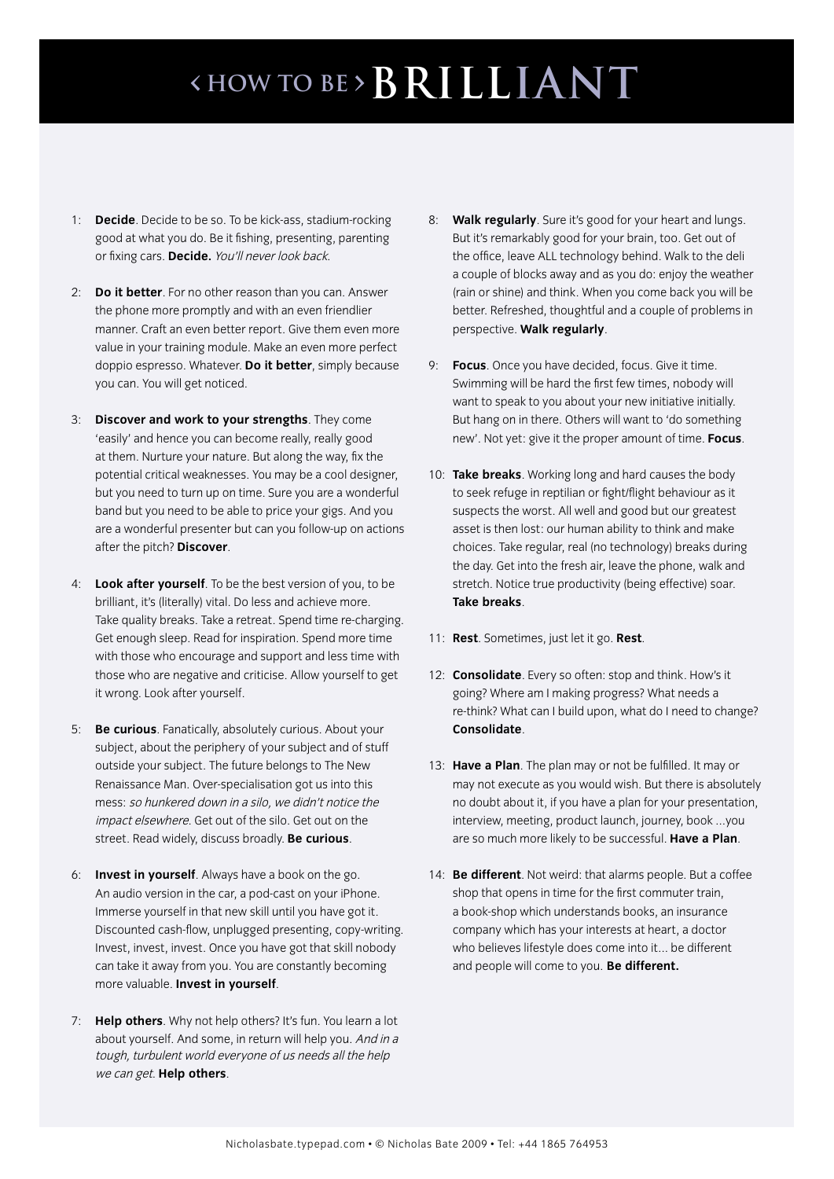- 1: **Decide**. Decide to be so. To be kick-ass, stadium-rocking good at what you do. Be it fishing, presenting, parenting or fixing cars. **Decide.** You'll never look back.
- 2: **Do it better**. For no other reason than you can. Answer the phone more promptly and with an even friendlier manner. Craft an even better report. Give them even more value in your training module. Make an even more perfect doppio espresso. Whatever. **Do it better**, simply because you can. You will get noticed.
- 3: **Discover and work to your strengths**. They come 'easily' and hence you can become really, really good at them. Nurture your nature. But along the way, fix the potential critical weaknesses. You may be a cool designer, but you need to turn up on time. Sure you are a wonderful band but you need to be able to price your gigs. And you are a wonderful presenter but can you follow-up on actions after the pitch? **Discover**.
- 4: **Look after yourself**. To be the best version of you, to be brilliant, it's (literally) vital. Do less and achieve more. Take quality breaks. Take a retreat. Spend time re-charging. Get enough sleep. Read for inspiration. Spend more time with those who encourage and support and less time with those who are negative and criticise. Allow yourself to get it wrong. Look after yourself.
- 5: **Be curious**. Fanatically, absolutely curious. About your subject, about the periphery of your subject and of stuff outside your subject. The future belongs to The New Renaissance Man. Over-specialisation got us into this mess: so hunkered down in a silo, we didn't notice the impact elsewhere. Get out of the silo. Get out on the street. Read widely, discuss broadly. **Be curious**.
- 6: **Invest in yourself**. Always have a book on the go. An audio version in the car, a pod-cast on your iPhone. Immerse yourself in that new skill until you have got it. Discounted cash-flow, unplugged presenting, copy-writing. Invest, invest, invest. Once you have got that skill nobody can take it away from you. You are constantly becoming more valuable. **Invest in yourself**.
- 7: **Help others**. Why not help others? It's fun. You learn a lot about yourself. And some, in return will help you. And in a tough, turbulent world everyone of us needs all the help we can get. **Help others**.
- 8: **Walk regularly**. Sure it's good for your heart and lungs. But it's remarkably good for your brain, too. Get out of the office, leave ALL technology behind. Walk to the deli a couple of blocks away and as you do: enjoy the weather (rain or shine) and think. When you come back you will be better. Refreshed, thoughtful and a couple of problems in perspective. **Walk regularly**.
- 9: **Focus**. Once you have decided, focus. Give it time. Swimming will be hard the first few times, nobody will want to speak to you about your new initiative initially. But hang on in there. Others will want to 'do something new'. Not yet: give it the proper amount of time. **Focus**.
- 10: **Take breaks**. Working long and hard causes the body to seek refuge in reptilian or fight/flight behaviour as it suspects the worst. All well and good but our greatest asset is then lost: our human ability to think and make choices. Take regular, real (no technology) breaks during the day. Get into the fresh air, leave the phone, walk and stretch. Notice true productivity (being effective) soar. **Take breaks**.
- 11: **Rest**. Sometimes, just let it go. **Rest**.
- 12: **Consolidate**. Every so often: stop and think. How's it going? Where am I making progress? What needs a re-think? What can I build upon, what do I need to change? **Consolidate**.
- 13: **Have a Plan**. The plan may or not be fulfilled. It may or may not execute as you would wish. But there is absolutely no doubt about it, if you have a plan for your presentation, interview, meeting, product launch, journey, book ...you are so much more likely to be successful. **Have a Plan**.
- 14: **Be different**. Not weird: that alarms people. But a coffee shop that opens in time for the first commuter train, a book-shop which understands books, an insurance company which has your interests at heart, a doctor who believes lifestyle does come into it... be different and people will come to you. **Be different.**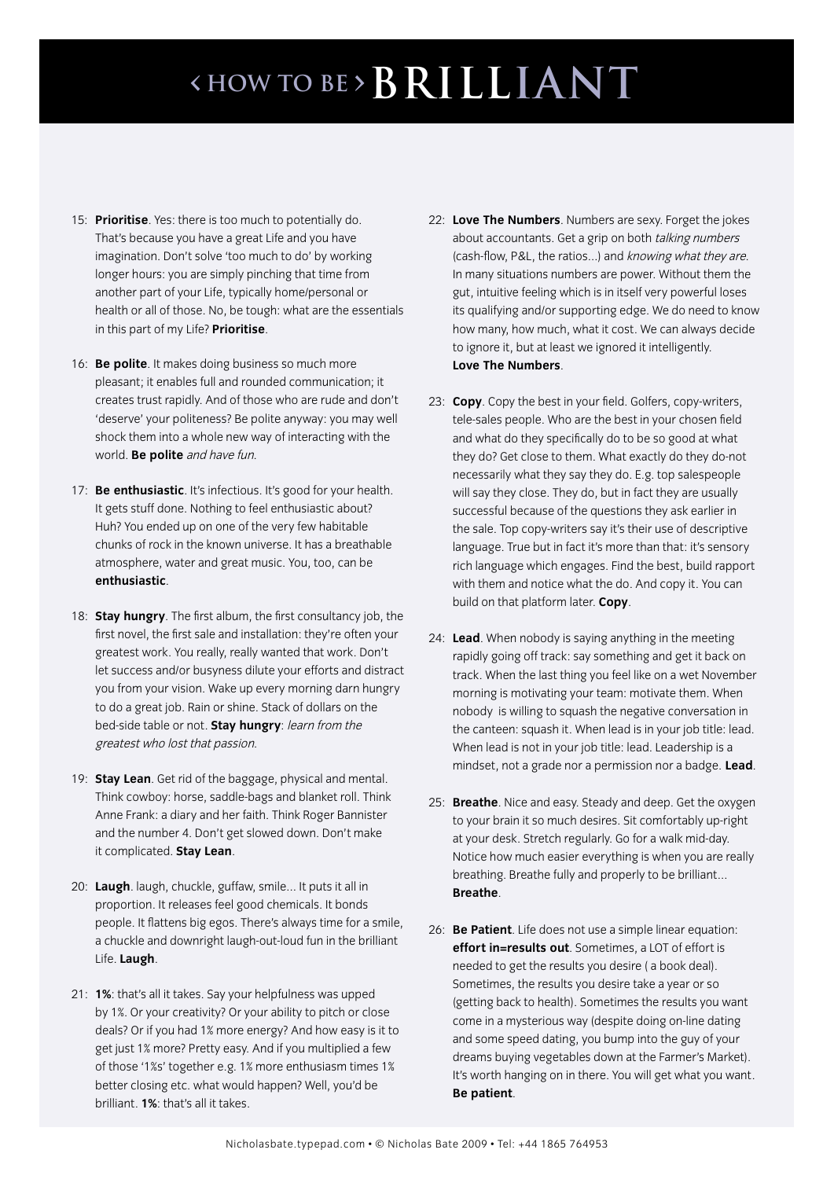- 15: **Prioritise**. Yes: there is too much to potentially do. That's because you have a great Life and you have imagination. Don't solve 'too much to do' by working longer hours: you are simply pinching that time from another part of your Life, typically home/personal or health or all of those. No, be tough: what are the essentials in this part of my Life? **Prioritise**.
- 16: **Be polite**. It makes doing business so much more pleasant; it enables full and rounded communication; it creates trust rapidly. And of those who are rude and don't 'deserve' your politeness? Be polite anyway: you may well shock them into a whole new way of interacting with the world. **Be polite** and have fun.
- 17: **Be enthusiastic**. It's infectious. It's good for your health. It gets stuff done. Nothing to feel enthusiastic about? Huh? You ended up on one of the very few habitable chunks of rock in the known universe. It has a breathable atmosphere, water and great music. You, too, can be **enthusiastic**.
- 18: **Stay hungry**. The first album, the first consultancy job, the first novel, the first sale and installation: they're often your greatest work. You really, really wanted that work. Don't let success and/or busyness dilute your efforts and distract you from your vision. Wake up every morning darn hungry to do a great job. Rain or shine. Stack of dollars on the bed-side table or not. **Stay hungry**: learn from the greatest who lost that passion.
- 19: **Stay Lean**. Get rid of the baggage, physical and mental. Think cowboy: horse, saddle-bags and blanket roll. Think Anne Frank: a diary and her faith. Think Roger Bannister and the number 4. Don't get slowed down. Don't make it complicated. **Stay Lean**.
- 20: **Laugh**. laugh, chuckle, guffaw, smile... It puts it all in proportion. It releases feel good chemicals. It bonds people. It flattens big egos. There's always time for a smile, a chuckle and downright laugh-out-loud fun in the brilliant Life. **Laugh**.
- 21: **1%**: that's all it takes. Say your helpfulness was upped by 1%. Or your creativity? Or your ability to pitch or close deals? Or if you had 1% more energy? And how easy is it to get just 1% more? Pretty easy. And if you multiplied a few of those '1%s' together e.g. 1% more enthusiasm times 1% better closing etc. what would happen? Well, you'd be brilliant. **1%**: that's all it takes.
- 22: **Love The Numbers**. Numbers are sexy. Forget the jokes about accountants. Get a grip on both talking numbers (cash-flow, P&L, the ratios...) and knowing what they are. In many situations numbers are power. Without them the gut, intuitive feeling which is in itself very powerful loses its qualifying and/or supporting edge. We do need to know how many, how much, what it cost. We can always decide to ignore it, but at least we ignored it intelligently. **Love The Numbers**.
- 23: **Copy**. Copy the best in your field. Golfers, copy-writers, tele-sales people. Who are the best in your chosen field and what do they specifically do to be so good at what they do? Get close to them. What exactly do they do-not necessarily what they say they do. E.g. top salespeople will say they close. They do, but in fact they are usually successful because of the questions they ask earlier in the sale. Top copy-writers say it's their use of descriptive language. True but in fact it's more than that: it's sensory rich language which engages. Find the best, build rapport with them and notice what the do. And copy it. You can build on that platform later. **Copy**.
- 24: **Lead**. When nobody is saying anything in the meeting rapidly going off track: say something and get it back on track. When the last thing you feel like on a wet November morning is motivating your team: motivate them. When nobody is willing to squash the negative conversation in the canteen: squash it. When lead is in your job title: lead. When lead is not in your job title: lead. Leadership is a mindset, not a grade nor a permission nor a badge. **Lead**.
- 25: **Breathe**. Nice and easy. Steady and deep. Get the oxygen to your brain it so much desires. Sit comfortably up-right at your desk. Stretch regularly. Go for a walk mid-day. Notice how much easier everything is when you are really breathing. Breathe fully and properly to be brilliant... **Breathe**.
- 26: **Be Patient**. Life does not use a simple linear equation: **effort in=results out**. Sometimes, a LOT of effort is needed to get the results you desire ( a book deal). Sometimes, the results you desire take a year or so (getting back to health). Sometimes the results you want come in a mysterious way (despite doing on-line dating and some speed dating, you bump into the guy of your dreams buying vegetables down at the Farmer's Market). It's worth hanging on in there. You will get what you want. **Be patient**.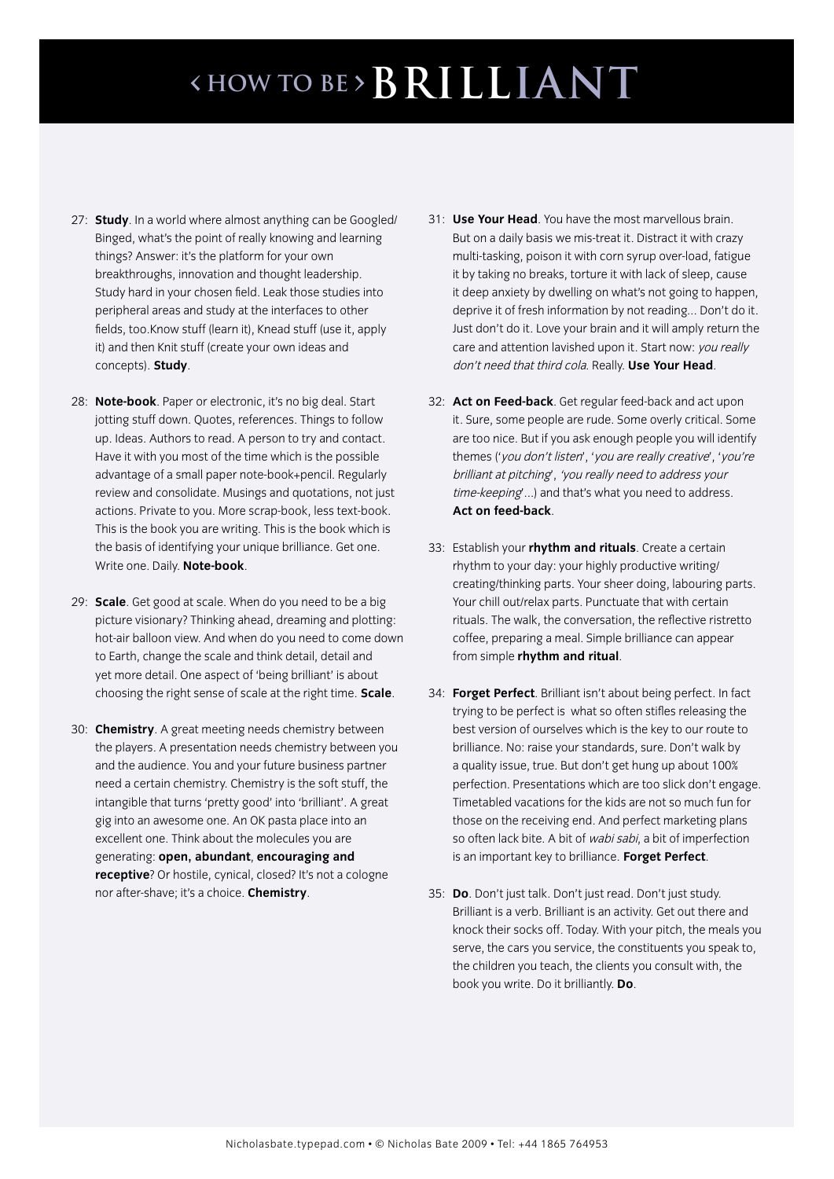- 27: **Study**. In a world where almost anything can be Googled/ Binged, what's the point of really knowing and learning things? Answer: it's the platform for your own breakthroughs, innovation and thought leadership. Study hard in your chosen field. Leak those studies into peripheral areas and study at the interfaces to other fields, too.Know stuff (learn it), Knead stuff (use it, apply it) and then Knit stuff (create your own ideas and concepts). **Study**.
- 28: **Note-book**. Paper or electronic, it's no big deal. Start jotting stuff down. Quotes, references. Things to follow up. Ideas. Authors to read. A person to try and contact. Have it with you most of the time which is the possible advantage of a small paper note-book+pencil. Regularly review and consolidate. Musings and quotations, not just actions. Private to you. More scrap-book, less text-book. This is the book you are writing. This is the book which is the basis of identifying your unique brilliance. Get one. Write one. Daily. **Note-book**.
- 29: **Scale**. Get good at scale. When do you need to be a big picture visionary? Thinking ahead, dreaming and plotting: hot-air balloon view. And when do you need to come down to Earth, change the scale and think detail, detail and yet more detail. One aspect of 'being brilliant' is about choosing the right sense of scale at the right time. **Scale**.
- 30: **Chemistry**. A great meeting needs chemistry between the players. A presentation needs chemistry between you and the audience. You and your future business partner need a certain chemistry. Chemistry is the soft stuff, the intangible that turns 'pretty good' into 'brilliant'. A great gig into an awesome one. An OK pasta place into an excellent one. Think about the molecules you are generating: **open, abundant**, **encouraging and receptive**? Or hostile, cynical, closed? It's not a cologne nor after-shave; it's a choice. **Chemistry**.
- 31: **Use Your Head**. You have the most marvellous brain. But on a daily basis we mis-treat it. Distract it with crazy multi-tasking, poison it with corn syrup over-load, fatigue it by taking no breaks, torture it with lack of sleep, cause it deep anxiety by dwelling on what's not going to happen, deprive it of fresh information by not reading... Don't do it. Just don't do it. Love your brain and it will amply return the care and attention lavished upon it. Start now: you really don't need that third cola. Really. **Use Your Head**.
- 32: **Act on Feed-back**. Get regular feed-back and act upon it. Sure, some people are rude. Some overly critical. Some are too nice. But if you ask enough people you will identify themes ('you don't listen', 'you are really creative', 'you're brilliant at pitching', 'you really need to address your time-keeping ...) and that's what you need to address. **Act on feed-back**.
- 33: Establish your **rhythm and rituals**. Create a certain rhythm to your day: your highly productive writing/ creating/thinking parts. Your sheer doing, labouring parts. Your chill out/relax parts. Punctuate that with certain rituals. The walk, the conversation, the reflective ristretto coffee, preparing a meal. Simple brilliance can appear from simple **rhythm and ritual**.
- 34: **Forget Perfect**. Brilliant isn't about being perfect. In fact trying to be perfect is what so often stifles releasing the best version of ourselves which is the key to our route to brilliance. No: raise your standards, sure. Don't walk by a quality issue, true. But don't get hung up about 100% perfection. Presentations which are too slick don't engage. Timetabled vacations for the kids are not so much fun for those on the receiving end. And perfect marketing plans so often lack bite. A bit of wabi sabi, a bit of imperfection is an important key to brilliance. **Forget Perfect**.
- 35: **Do**. Don't just talk. Don't just read. Don't just study. Brilliant is a verb. Brilliant is an activity. Get out there and knock their socks off. Today. With your pitch, the meals you serve, the cars you service, the constituents you speak to, the children you teach, the clients you consult with, the book you write. Do it brilliantly. **Do**.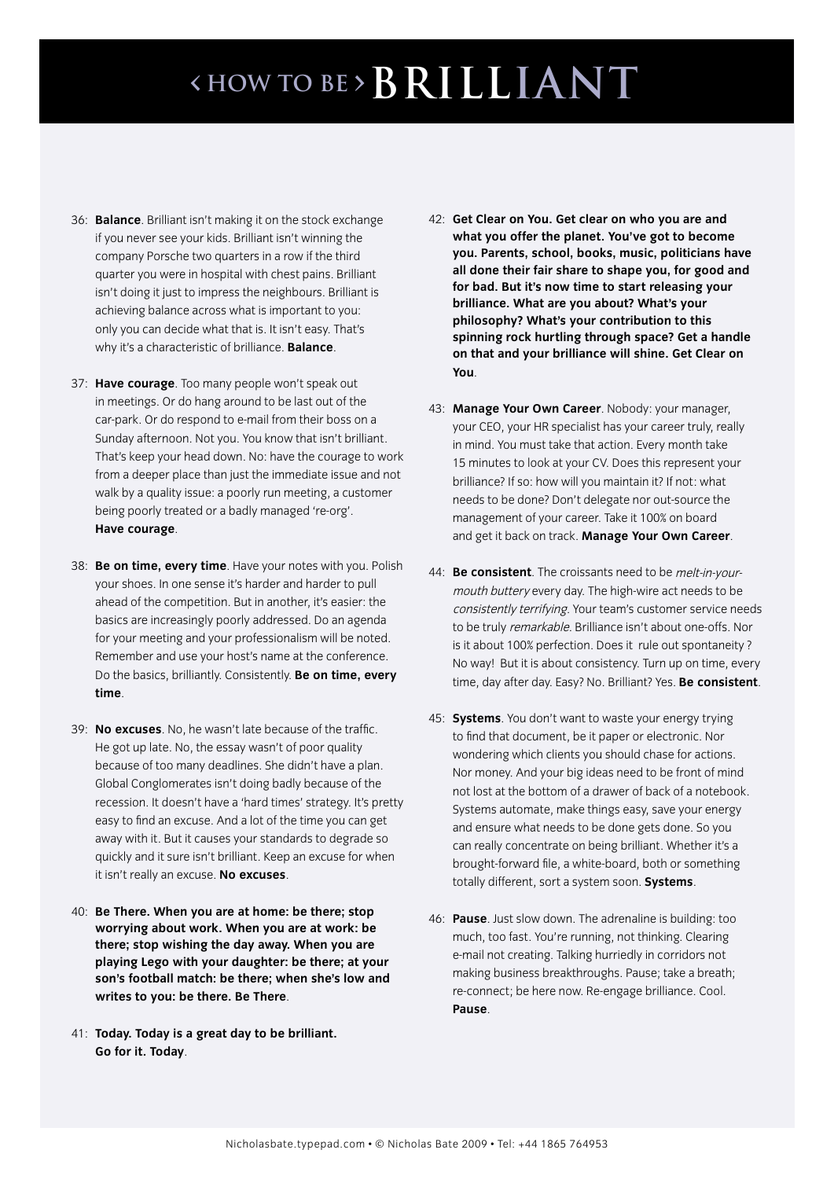- 36: **Balance**. Brilliant isn't making it on the stock exchange if you never see your kids. Brilliant isn't winning the company Porsche two quarters in a row if the third quarter you were in hospital with chest pains. Brilliant isn't doing it just to impress the neighbours. Brilliant is achieving balance across what is important to you: only you can decide what that is. It isn't easy. That's why it's a characteristic of brilliance. **Balance**.
- 37: **Have courage**. Too many people won't speak out in meetings. Or do hang around to be last out of the car-park. Or do respond to e-mail from their boss on a Sunday afternoon. Not you. You know that isn't brilliant. That's keep your head down. No: have the courage to work from a deeper place than just the immediate issue and not walk by a quality issue: a poorly run meeting, a customer being poorly treated or a badly managed 're-org'. **Have courage**.
- 38: **Be on time, every time**. Have your notes with you. Polish your shoes. In one sense it's harder and harder to pull ahead of the competition. But in another, it's easier: the basics are increasingly poorly addressed. Do an agenda for your meeting and your professionalism will be noted. Remember and use your host's name at the conference. Do the basics, brilliantly. Consistently. **Be on time, every time**.
- 39: **No excuses**. No, he wasn't late because of the traffic. He got up late. No, the essay wasn't of poor quality because of too many deadlines. She didn't have a plan. Global Conglomerates isn't doing badly because of the recession. It doesn't have a 'hard times' strategy. It's pretty easy to find an excuse. And a lot of the time you can get away with it. But it causes your standards to degrade so quickly and it sure isn't brilliant. Keep an excuse for when it isn't really an excuse. **No excuses**.
- 40: **Be There. When you are at home: be there; stop worrying about work. When you are at work: be there; stop wishing the day away. When you are playing Lego with your daughter: be there; at your son's football match: be there; when she's low and writes to you: be there. Be There**.
- 41: **Today. Today is a great day to be brilliant. Go for it. Today**.
- 42: **Get Clear on You. Get clear on who you are and what you offer the planet. You've got to become you. Parents, school, books, music, politicians have all done their fair share to shape you, for good and for bad. But it's now time to start releasing your brilliance. What are you about? What's your philosophy? What's your contribution to this spinning rock hurtling through space? Get a handle on that and your brilliance will shine. Get Clear on You**.
- 43: **Manage Your Own Career**. Nobody: your manager, your CEO, your HR specialist has your career truly, really in mind. You must take that action. Every month take 15 minutes to look at your CV. Does this represent your brilliance? If so: how will you maintain it? If not: what needs to be done? Don't delegate nor out-source the management of your career. Take it 100% on board and get it back on track. **Manage Your Own Career**.
- 44: **Be consistent**. The croissants need to be melt-in-yourmouth buttery every day. The high-wire act needs to be consistently terrifying. Your team's customer service needs to be truly remarkable. Brilliance isn't about one-offs. Nor is it about 100% perfection. Does it rule out spontaneity ? No way! But it is about consistency. Turn up on time, every time, day after day. Easy? No. Brilliant? Yes. **Be consistent**.
- 45: **Systems**. You don't want to waste your energy trying to find that document, be it paper or electronic. Nor wondering which clients you should chase for actions. Nor money. And your big ideas need to be front of mind not lost at the bottom of a drawer of back of a notebook. Systems automate, make things easy, save your energy and ensure what needs to be done gets done. So you can really concentrate on being brilliant. Whether it's a brought-forward file, a white-board, both or something totally different, sort a system soon. **Systems**.
- 46: **Pause**. Just slow down. The adrenaline is building: too much, too fast. You're running, not thinking. Clearing e-mail not creating. Talking hurriedly in corridors not making business breakthroughs. Pause; take a breath; re-connect; be here now. Re-engage brilliance. Cool. **Pause**.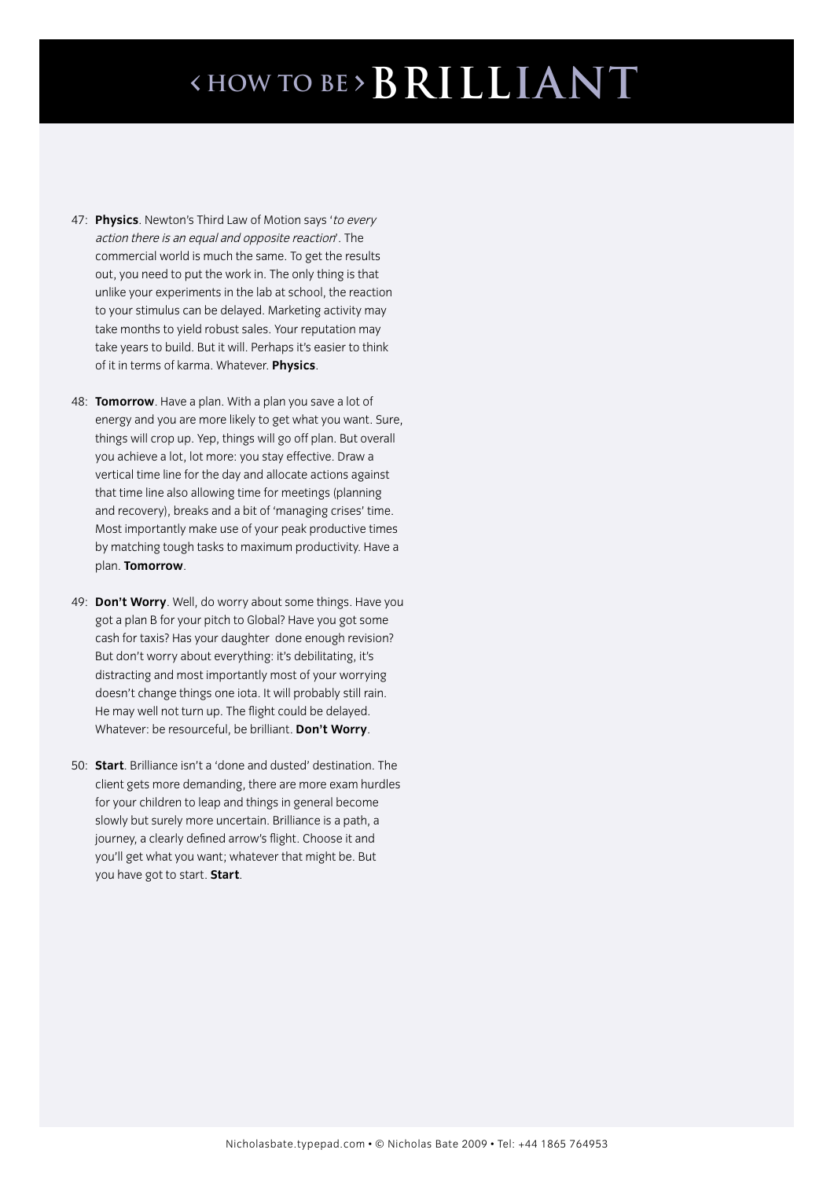- 47: **Physics**. Newton's Third Law of Motion says 'to every action there is an equal and opposite reaction'. The commercial world is much the same. To get the results out, you need to put the work in. The only thing is that unlike your experiments in the lab at school, the reaction to your stimulus can be delayed. Marketing activity may take months to yield robust sales. Your reputation may take years to build. But it will. Perhaps it's easier to think of it in terms of karma. Whatever. **Physics**.
- 48: **Tomorrow**. Have a plan. With a plan you save a lot of energy and you are more likely to get what you want. Sure, things will crop up. Yep, things will go off plan. But overall you achieve a lot, lot more: you stay effective. Draw a vertical time line for the day and allocate actions against that time line also allowing time for meetings (planning and recovery), breaks and a bit of 'managing crises' time. Most importantly make use of your peak productive times by matching tough tasks to maximum productivity. Have a plan. **Tomorrow**.
- 49: **Don't Worry**. Well, do worry about some things. Have you got a plan B for your pitch to Global? Have you got some cash for taxis? Has your daughter done enough revision? But don't worry about everything: it's debilitating, it's distracting and most importantly most of your worrying doesn't change things one iota. It will probably still rain. He may well not turn up. The flight could be delayed. Whatever: be resourceful, be brilliant. **Don't Worry**.
- 50: **Start**. Brilliance isn't a 'done and dusted' destination. The client gets more demanding, there are more exam hurdles for your children to leap and things in general become slowly but surely more uncertain. Brilliance is a path, a journey, a clearly defined arrow's flight. Choose it and you'll get what you want; whatever that might be. But you have got to start. **Start**.